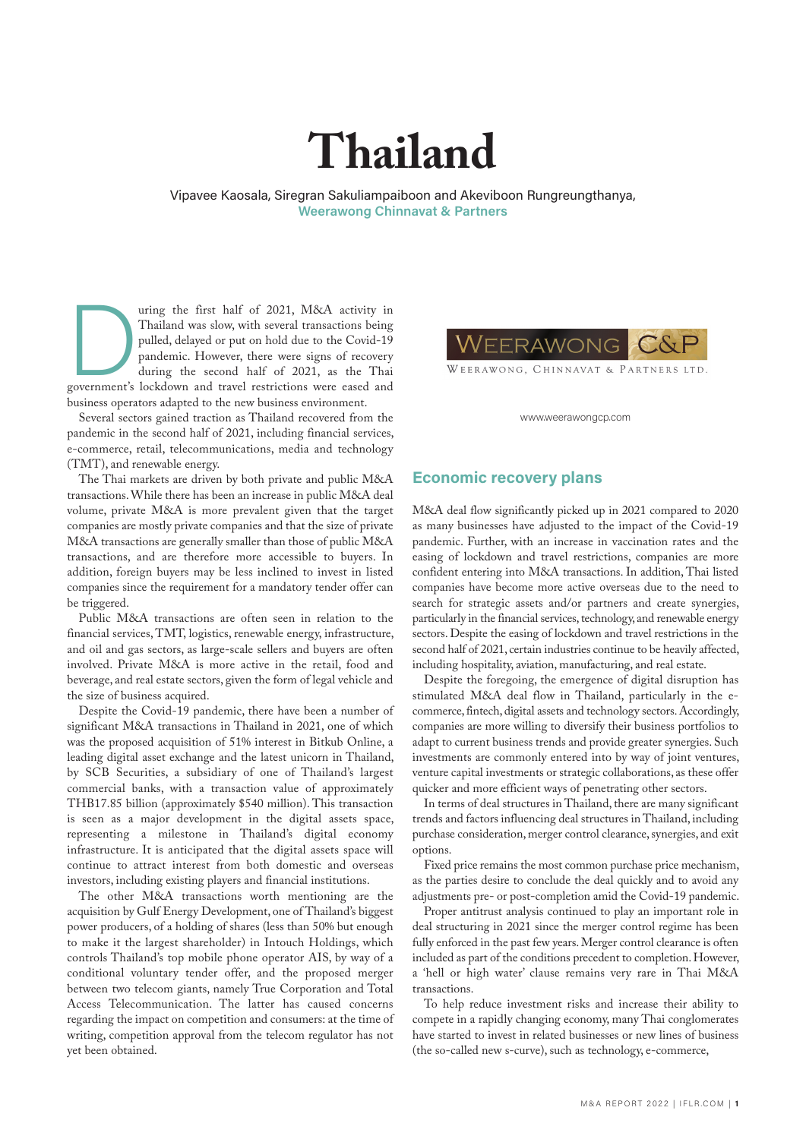# **Thailand**

Vipavee Kaosala, Siregran Sakuliampaiboon and Akeviboon Rungreungthanya, **Weerawong Chinnavat & Partners**

Thailand was slow, with several transactions being<br>pulled, delayed or put on hold due to the Covid-19<br>pandemic. However, there were signs of recovery<br>during the second half of 2021, as the Thai<br>government's lockdown and tr Thailand was slow, with several transactions being pulled, delayed or put on hold due to the Covid-19 pandemic. However, there were signs of recovery during the second half of 2021, as the Thai government's lockdown and travel restrictions were eased and business operators adapted to the new business environment.

Several sectors gained traction as Thailand recovered from the pandemic in the second half of 2021, including financial services, e-commerce, retail, telecommunications, media and technology (TMT), and renewable energy.

The Thai markets are driven by both private and public M&A transactions. While there has been an increase in public M&A deal volume, private M&A is more prevalent given that the target companies are mostly private companies and that the size of private M&A transactions are generally smaller than those of public M&A transactions, and are therefore more accessible to buyers. In addition, foreign buyers may be less inclined to invest in listed companies since the requirement for a mandatory tender offer can be triggered.

Public M&A transactions are often seen in relation to the financial services, TMT, logistics, renewable energy, infrastructure, and oil and gas sectors, as large-scale sellers and buyers are often involved. Private M&A is more active in the retail, food and beverage, and real estate sectors, given the form of legal vehicle and the size of business acquired.

Despite the Covid-19 pandemic, there have been a number of significant M&A transactions in Thailand in 2021, one of which was the proposed acquisition of 51% interest in Bitkub Online, a leading digital asset exchange and the latest unicorn in Thailand, by SCB Securities, a subsidiary of one of Thailand's largest commercial banks, with a transaction value of approximately THB17.85 billion (approximately \$540 million). This transaction is seen as a major development in the digital assets space, representing a milestone in Thailand's digital economy infrastructure. It is anticipated that the digital assets space will continue to attract interest from both domestic and overseas investors, including existing players and financial institutions.

The other M&A transactions worth mentioning are the acquisition by Gulf Energy Development, one of Thailand's biggest power producers, of a holding of shares (less than 50% but enough to make it the largest shareholder) in Intouch Holdings, which controls Thailand's top mobile phone operator AIS, by way of a conditional voluntary tender offer, and the proposed merger between two telecom giants, namely True Corporation and Total Access Telecommunication. The latter has caused concerns regarding the impact on competition and consumers: at the time of writing, competition approval from the telecom regulator has not yet been obtained.



WEERAWONG, CHINNAVAT & PARTNERS LTD.

www.weerawongcp.com

#### **Economic recovery plans**

M&A deal flow significantly picked up in 2021 compared to 2020 as many businesses have adjusted to the impact of the Covid-19 pandemic. Further, with an increase in vaccination rates and the easing of lockdown and travel restrictions, companies are more confident entering into M&A transactions. In addition, Thai listed companies have become more active overseas due to the need to search for strategic assets and/or partners and create synergies, particularly in the financial services, technology, and renewable energy sectors. Despite the easing of lockdown and travel restrictions in the second half of 2021, certain industries continue to be heavily affected, including hospitality, aviation, manufacturing, and real estate.

Despite the foregoing, the emergence of digital disruption has stimulated M&A deal flow in Thailand, particularly in the ecommerce, fintech, digital assets and technology sectors. Accordingly, companies are more willing to diversify their business portfolios to adapt to current business trends and provide greater synergies. Such investments are commonly entered into by way of joint ventures, venture capital investments or strategic collaborations, as these offer quicker and more efficient ways of penetrating other sectors.

In terms of deal structures in Thailand, there are many significant trends and factors influencing deal structures in Thailand, including purchase consideration, merger control clearance, synergies, and exit options.

Fixed price remains the most common purchase price mechanism, as the parties desire to conclude the deal quickly and to avoid any adjustments pre- or post-completion amid the Covid-19 pandemic.

Proper antitrust analysis continued to play an important role in deal structuring in 2021 since the merger control regime has been fully enforced in the past few years. Merger control clearance is often included as part of the conditions precedent to completion. However, a 'hell or high water' clause remains very rare in Thai M&A transactions.

To help reduce investment risks and increase their ability to compete in a rapidly changing economy, many Thai conglomerates have started to invest in related businesses or new lines of business (the so-called new s-curve), such as technology, e-commerce,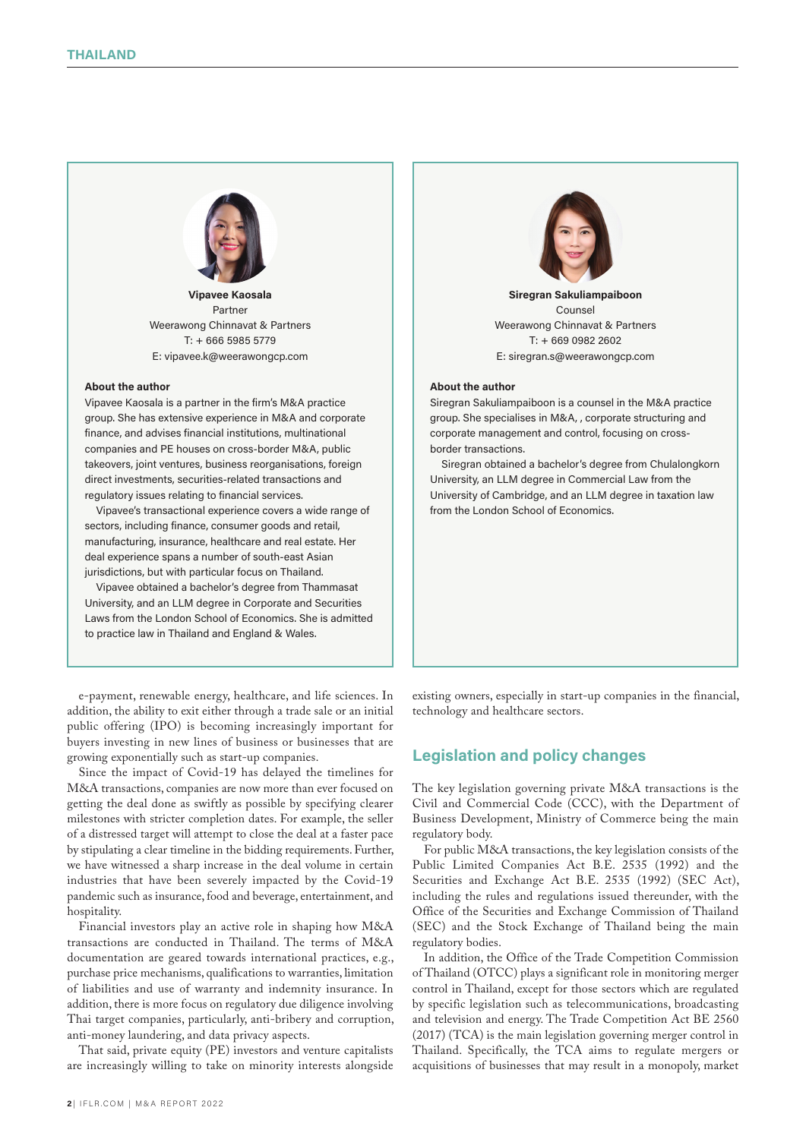

**Vipavee Kaosala** Partner Weerawong Chinnavat & Partners T: + 666 5985 5779 E: vipavee.k@weerawongcp.com

#### **About the author**

Vipavee Kaosala is a partner in the firm's M&A practice group. She has extensive experience in M&A and corporate finance, and advises financial institutions, multinational companies and PE houses on cross-border M&A, public takeovers, joint ventures, business reorganisations, foreign direct investments, securities-related transactions and regulatory issues relating to financial services.

Vipavee's transactional experience covers a wide range of sectors, including finance, consumer goods and retail, manufacturing, insurance, healthcare and real estate. Her deal experience spans a number of south-east Asian jurisdictions, but with particular focus on Thailand.

Vipavee obtained a bachelor's degree from Thammasat University, and an LLM degree in Corporate and Securities Laws from the London School of Economics. She is admitted to practice law in Thailand and England & Wales.

e-payment, renewable energy, healthcare, and life sciences. In addition, the ability to exit either through a trade sale or an initial public offering (IPO) is becoming increasingly important for buyers investing in new lines of business or businesses that are growing exponentially such as start-up companies.

Since the impact of Covid-19 has delayed the timelines for M&A transactions, companies are now more than ever focused on getting the deal done as swiftly as possible by specifying clearer milestones with stricter completion dates. For example, the seller of a distressed target will attempt to close the deal at a faster pace by stipulating a clear timeline in the bidding requirements. Further, we have witnessed a sharp increase in the deal volume in certain industries that have been severely impacted by the Covid-19 pandemic such as insurance, food and beverage, entertainment, and hospitality.

Financial investors play an active role in shaping how M&A transactions are conducted in Thailand. The terms of M&A documentation are geared towards international practices, e.g., purchase price mechanisms, qualifications to warranties, limitation of liabilities and use of warranty and indemnity insurance. In addition, there is more focus on regulatory due diligence involving Thai target companies, particularly, anti-bribery and corruption, anti-money laundering, and data privacy aspects.

That said, private equity (PE) investors and venture capitalists are increasingly willing to take on minority interests alongside



**Siregran Sakuliampaiboon** Counsel Weerawong Chinnavat & Partners T: + 669 0982 2602 E: siregran.s@weerawongcp.com

#### **About the author**

Siregran Sakuliampaiboon is a counsel in the M&A practice group. She specialises in M&A, , corporate structuring and corporate management and control, focusing on crossborder transactions.

Siregran obtained a bachelor's degree from Chulalongkorn University, an LLM degree in Commercial Law from the University of Cambridge, and an LLM degree in taxation law from the London School of Economics.

existing owners, especially in start-up companies in the financial, technology and healthcare sectors.

## **Legislation and policy changes**

The key legislation governing private M&A transactions is the Civil and Commercial Code (CCC), with the Department of Business Development, Ministry of Commerce being the main regulatory body.

For public M&A transactions, the key legislation consists of the Public Limited Companies Act B.E. 2535 (1992) and the Securities and Exchange Act B.E. 2535 (1992) (SEC Act), including the rules and regulations issued thereunder, with the Office of the Securities and Exchange Commission of Thailand (SEC) and the Stock Exchange of Thailand being the main regulatory bodies.

In addition, the Office of the Trade Competition Commission of Thailand (OTCC) plays a significant role in monitoring merger control in Thailand, except for those sectors which are regulated by specific legislation such as telecommunications, broadcasting and television and energy. The Trade Competition Act BE 2560 (2017) (TCA) is the main legislation governing merger control in Thailand. Specifically, the TCA aims to regulate mergers or acquisitions of businesses that may result in a monopoly, market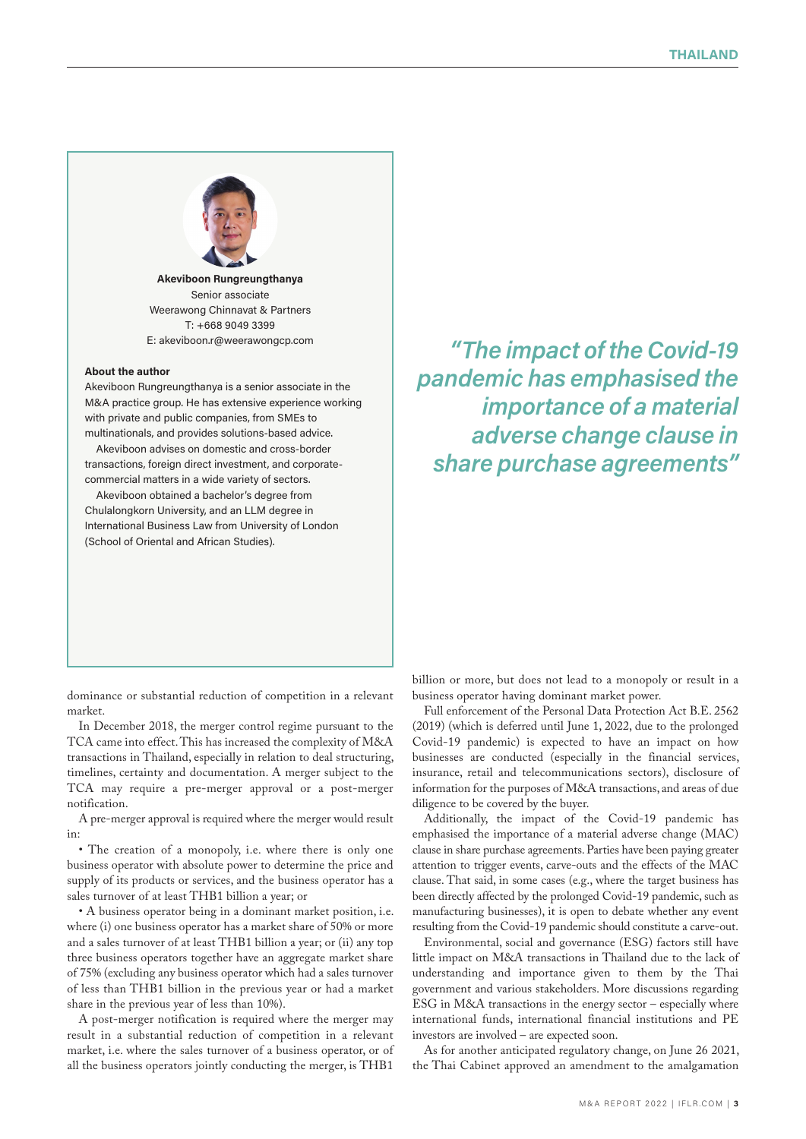

**Akeviboon Rungreungthanya** Senior associate Weerawong Chinnavat & Partners T: +668 9049 3399 E: akeviboon.r@weerawongcp.com

#### **About the author**

Akeviboon Rungreungthanya is a senior associate in the M&A practice group. He has extensive experience working with private and public companies, from SMEs to multinationals, and provides solutions-based advice.

Akeviboon advises on domestic and cross-border transactions, foreign direct investment, and corporatecommercial matters in a wide variety of sectors.

Akeviboon obtained a bachelor's degree from Chulalongkorn University, and an LLM degree in International Business Law from University of London (School of Oriental and African Studies).

*"The impact of the Covid-19 pandemic has emphasised the importance of a material adverse change clause in share purchase agreements"*

dominance or substantial reduction of competition in a relevant market.

In December 2018, the merger control regime pursuant to the TCA came into effect. This has increased the complexity of M&A transactions in Thailand, especially in relation to deal structuring, timelines, certainty and documentation. A merger subject to the TCA may require a pre-merger approval or a post-merger notification.

A pre-merger approval is required where the merger would result in:

• The creation of a monopoly, i.e. where there is only one business operator with absolute power to determine the price and supply of its products or services, and the business operator has a sales turnover of at least THB1 billion a year; or

• A business operator being in a dominant market position, i.e. where (i) one business operator has a market share of 50% or more and a sales turnover of at least THB1 billion a year; or (ii) any top three business operators together have an aggregate market share of 75% (excluding any business operator which had a sales turnover of less than THB1 billion in the previous year or had a market share in the previous year of less than 10%).

A post-merger notification is required where the merger may result in a substantial reduction of competition in a relevant market, i.e. where the sales turnover of a business operator, or of all the business operators jointly conducting the merger, is THB1 billion or more, but does not lead to a monopoly or result in a business operator having dominant market power.

Full enforcement of the Personal Data Protection Act B.E. 2562 (2019) (which is deferred until June 1, 2022, due to the prolonged Covid-19 pandemic) is expected to have an impact on how businesses are conducted (especially in the financial services, insurance, retail and telecommunications sectors), disclosure of information for the purposes of M&A transactions, and areas of due diligence to be covered by the buyer.

Additionally, the impact of the Covid-19 pandemic has emphasised the importance of a material adverse change (MAC) clause in share purchase agreements. Parties have been paying greater attention to trigger events, carve-outs and the effects of the MAC clause. That said, in some cases (e.g., where the target business has been directly affected by the prolonged Covid-19 pandemic, such as manufacturing businesses), it is open to debate whether any event resulting from the Covid-19 pandemic should constitute a carve-out.

Environmental, social and governance (ESG) factors still have little impact on M&A transactions in Thailand due to the lack of understanding and importance given to them by the Thai government and various stakeholders. More discussions regarding ESG in M&A transactions in the energy sector – especially where international funds, international financial institutions and PE investors are involved – are expected soon.

As for another anticipated regulatory change, on June 26 2021, the Thai Cabinet approved an amendment to the amalgamation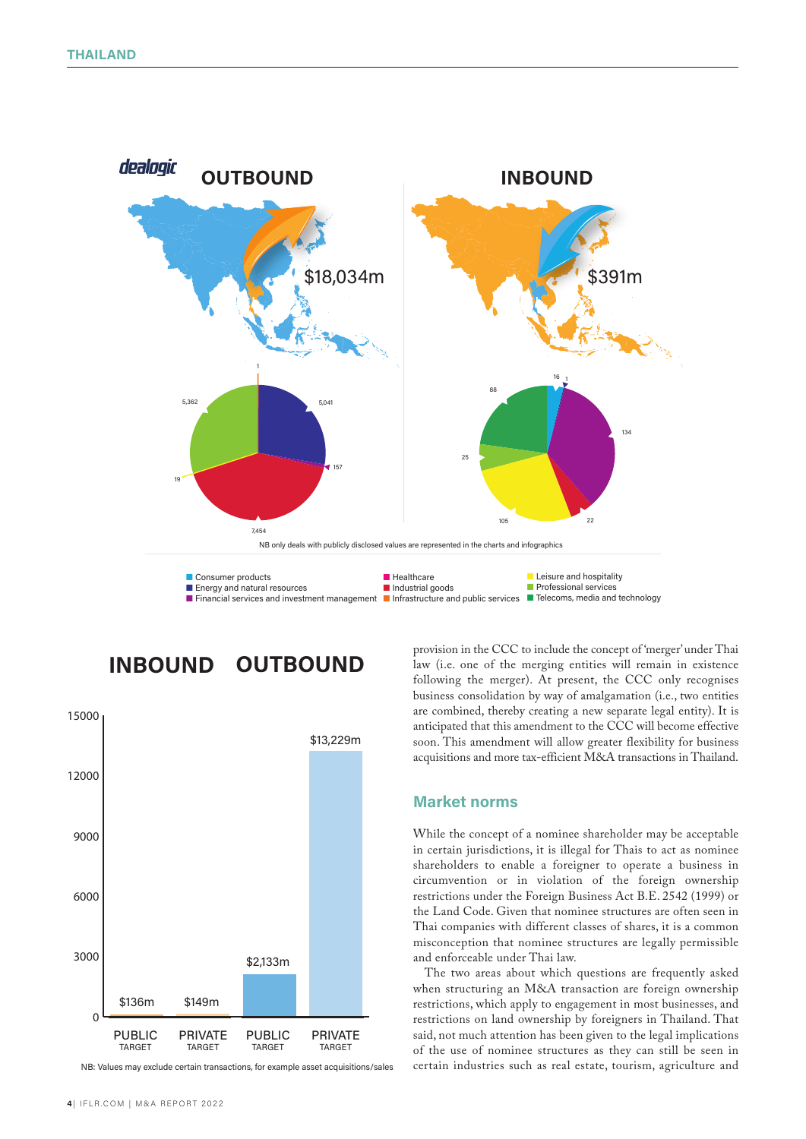

**INBOUND OUTBOUND**



NB: Values may exclude certain transactions, for example asset acquisitions/sales

**<sup>4</sup>** | IFLR.COM | M&A REPORT 2022

provision in the CCC to include the concept of 'merger' under Thai law (i.e. one of the merging entities will remain in existence following the merger). At present, the CCC only recognises business consolidation by way of amalgamation (i.e., two entities are combined, thereby creating a new separate legal entity). It is anticipated that this amendment to the CCC will become effective soon. This amendment will allow greater flexibility for business acquisitions and more tax-efficient M&A transactions in Thailand.

#### **Market norms**

While the concept of a nominee shareholder may be acceptable in certain jurisdictions, it is illegal for Thais to act as nominee shareholders to enable a foreigner to operate a business in circumvention or in violation of the foreign ownership restrictions under the Foreign Business Act B.E. 2542 (1999) or the Land Code. Given that nominee structures are often seen in Thai companies with different classes of shares, it is a common misconception that nominee structures are legally permissible and enforceable under Thai law.

The two areas about which questions are frequently asked when structuring an M&A transaction are foreign ownership restrictions, which apply to engagement in most businesses, and restrictions on land ownership by foreigners in Thailand. That said, not much attention has been given to the legal implications of the use of nominee structures as they can still be seen in certain industries such as real estate, tourism, agriculture and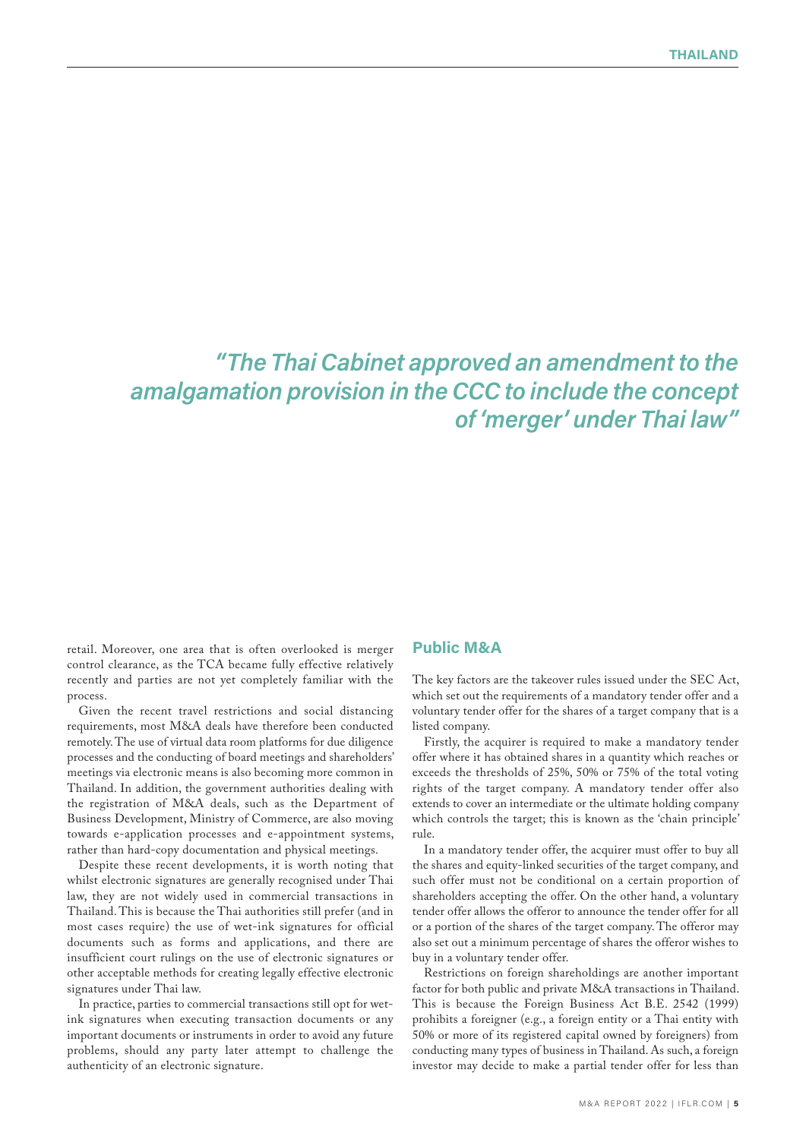# *"The Thai Cabinet approved an amendment to the amalgamation provision in the CCC to include the concept of 'merger' under Thai law"*

retail. Moreover, one area that is often overlooked is merger control clearance, as the TCA became fully effective relatively recently and parties are not yet completely familiar with the process.

Given the recent travel restrictions and social distancing requirements, most M&A deals have therefore been conducted remotely. The use of virtual data room platforms for due diligence processes and the conducting of board meetings and shareholders' meetings via electronic means is also becoming more common in Thailand. In addition, the government authorities dealing with the registration of M&A deals, such as the Department of Business Development, Ministry of Commerce, are also moving towards e-application processes and e-appointment systems, rather than hard-copy documentation and physical meetings.

Despite these recent developments, it is worth noting that whilst electronic signatures are generally recognised under Thai law, they are not widely used in commercial transactions in Thailand. This is because the Thai authorities still prefer (and in most cases require) the use of wet-ink signatures for official documents such as forms and applications, and there are insufficient court rulings on the use of electronic signatures or other acceptable methods for creating legally effective electronic signatures under Thai law.

In practice, parties to commercial transactions still opt for wetink signatures when executing transaction documents or any important documents or instruments in order to avoid any future problems, should any party later attempt to challenge the authenticity of an electronic signature.

# **Public M&A**

The key factors are the takeover rules issued under the SEC Act, which set out the requirements of a mandatory tender offer and a voluntary tender offer for the shares of a target company that is a listed company.

Firstly, the acquirer is required to make a mandatory tender offer where it has obtained shares in a quantity which reaches or exceeds the thresholds of 25%, 50% or 75% of the total voting rights of the target company. A mandatory tender offer also extends to cover an intermediate or the ultimate holding company which controls the target; this is known as the 'chain principle' rule.

In a mandatory tender offer, the acquirer must offer to buy all the shares and equity-linked securities of the target company, and such offer must not be conditional on a certain proportion of shareholders accepting the offer. On the other hand, a voluntary tender offer allows the offeror to announce the tender offer for all or a portion of the shares of the target company. The offeror may also set out a minimum percentage of shares the offeror wishes to buy in a voluntary tender offer.

Restrictions on foreign shareholdings are another important factor for both public and private M&A transactions in Thailand. This is because the Foreign Business Act B.E. 2542 (1999) prohibits a foreigner (e.g., a foreign entity or a Thai entity with 50% or more of its registered capital owned by foreigners) from conducting many types of business in Thailand. As such, a foreign investor may decide to make a partial tender offer for less than